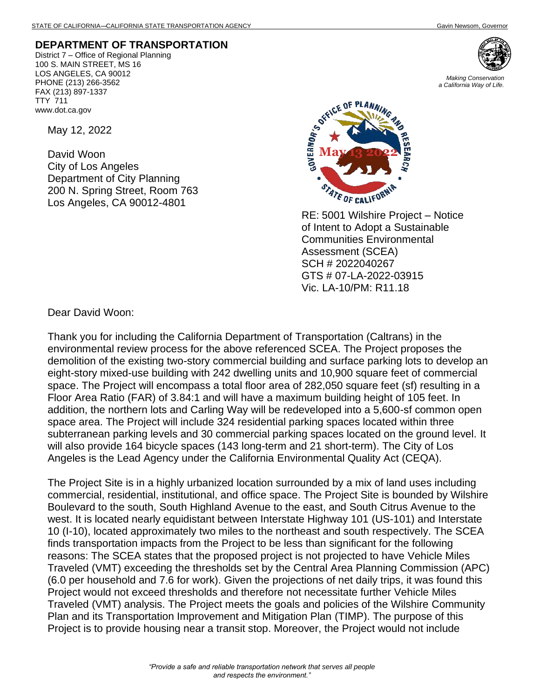## **DEPARTMENT OF TRANSPORTATION**

District 7 – Office of Regional Planning 100 S. MAIN STREET, MS 16 LOS ANGELES, CA 90012 PHONE (213) 266-3562 FAX (213) 897-1337 TTY 711 www.dot.ca.gov

May 12, 2022

David Woon City of Los Angeles Department of City Planning 200 N. Spring Street, Room 763 Los Angeles, CA 90012-4801



*Making Conservation a California Way of Life.*



RE: 5001 Wilshire Project – Notice of Intent to Adopt a Sustainable Communities Environmental Assessment (SCEA) SCH # 2022040267 GTS # 07-LA-2022-03915 Vic. LA-10/PM: R11.18

Dear David Woon:

Thank you for including the California Department of Transportation (Caltrans) in the environmental review process for the above referenced SCEA. The Project proposes the demolition of the existing two-story commercial building and surface parking lots to develop an eight-story mixed-use building with 242 dwelling units and 10,900 square feet of commercial space. The Project will encompass a total floor area of 282,050 square feet (sf) resulting in a Floor Area Ratio (FAR) of 3.84:1 and will have a maximum building height of 105 feet. In addition, the northern lots and Carling Way will be redeveloped into a 5,600-sf common open space area. The Project will include 324 residential parking spaces located within three subterranean parking levels and 30 commercial parking spaces located on the ground level. It will also provide 164 bicycle spaces (143 long-term and 21 short-term). The City of Los Angeles is the Lead Agency under the California Environmental Quality Act (CEQA).

The Project Site is in a highly urbanized location surrounded by a mix of land uses including commercial, residential, institutional, and office space. The Project Site is bounded by Wilshire Boulevard to the south, South Highland Avenue to the east, and South Citrus Avenue to the west. It is located nearly equidistant between Interstate Highway 101 (US-101) and Interstate 10 (I-10), located approximately two miles to the northeast and south respectively. The SCEA finds transportation impacts from the Project to be less than significant for the following reasons: The SCEA states that the proposed project is not projected to have Vehicle Miles Traveled (VMT) exceeding the thresholds set by the Central Area Planning Commission (APC) (6.0 per household and 7.6 for work). Given the projections of net daily trips, it was found this Project would not exceed thresholds and therefore not necessitate further Vehicle Miles Traveled (VMT) analysis. The Project meets the goals and policies of the Wilshire Community Plan and its Transportation Improvement and Mitigation Plan (TIMP). The purpose of this Project is to provide housing near a transit stop. Moreover, the Project would not include